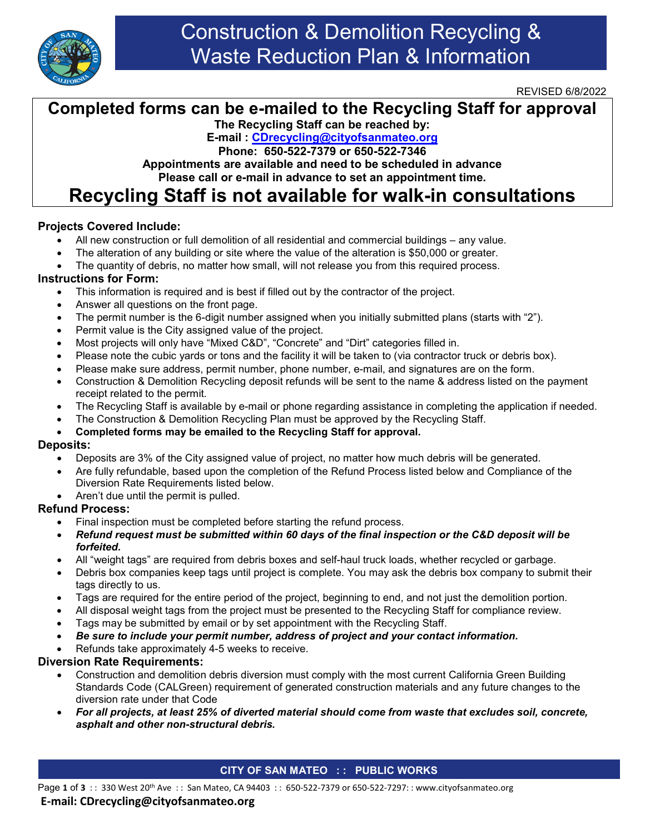

## Construction & Demolition Recycling & Waste Reduction Plan & Information

REVISED 6/8/2022

### **Completed forms can be e-mailed to the Recycling Staff for approval**

**The Recycling Staff can be reached by:**

**E-mail : [CDrecycling@cityofsanmateo.org](mailto:CDrecycling@cityofsanmateo.org)**

**Phone: 650-522-7379 or 650-522-7346**

**Appointments are available and need to be scheduled in advance Please call or e-mail in advance to set an appointment time.**

### **Recycling Staff is not available for walk-in consultations**

#### **Projects Covered Include:**

- All new construction or full demolition of all residential and commercial buildings any value.
- The alteration of any building or site where the value of the alteration is \$50,000 or greater.
- The quantity of debris, no matter how small, will not release you from this required process.

#### **Instructions for Form:**

- This information is required and is best if filled out by the contractor of the project.
- Answer all questions on the front page.
- The permit number is the 6-digit number assigned when you initially submitted plans (starts with "2").
- Permit value is the City assigned value of the project.
- Most projects will only have "Mixed C&D", "Concrete" and "Dirt" categories filled in.
- Please note the cubic yards or tons and the facility it will be taken to (via contractor truck or debris box).
- Please make sure address, permit number, phone number, e-mail, and signatures are on the form.
- Construction & Demolition Recycling deposit refunds will be sent to the name & address listed on the payment receipt related to the permit.
- The Recycling Staff is available by e-mail or phone regarding assistance in completing the application if needed.
- The Construction & Demolition Recycling Plan must be approved by the Recycling Staff.

#### • **Completed forms may be emailed to the Recycling Staff for approval.**

#### **Deposits:**

- Deposits are 3% of the City assigned value of project, no matter how much debris will be generated.
- Are fully refundable, based upon the completion of the Refund Process listed below and Compliance of the Diversion Rate Requirements listed below.
- Aren't due until the permit is pulled.

#### **Refund Process:**

- Final inspection must be completed before starting the refund process.
- *Refund request must be submitted within 60 days of the final inspection or the C&D deposit will be forfeited.*
- All "weight tags" are required from debris boxes and self-haul truck loads, whether recycled or garbage.
- Debris box companies keep tags until project is complete. You may ask the debris box company to submit their tags directly to us.
- Tags are required for the entire period of the project, beginning to end, and not just the demolition portion.
- All disposal weight tags from the project must be presented to the Recycling Staff for compliance review.
- Tags may be submitted by email or by set appointment with the Recycling Staff.
- *Be sure to include your permit number, address of project and your contact information.*
- Refunds take approximately 4-5 weeks to receive.

#### **Diversion Rate Requirements:**

- Construction and demolition debris diversion must comply with the most current California Green Building Standards Code (CALGreen) requirement of generated construction materials and any future changes to the diversion rate under that Code
- *For all projects, at least 25% of diverted material should come from waste that excludes soil, concrete, asphalt and other non-structural debris.*

#### **CITY OF SAN MATEO : : PUBLIC WORKS**

### **E-mail: CDrecycling@cityofsanmateo.org**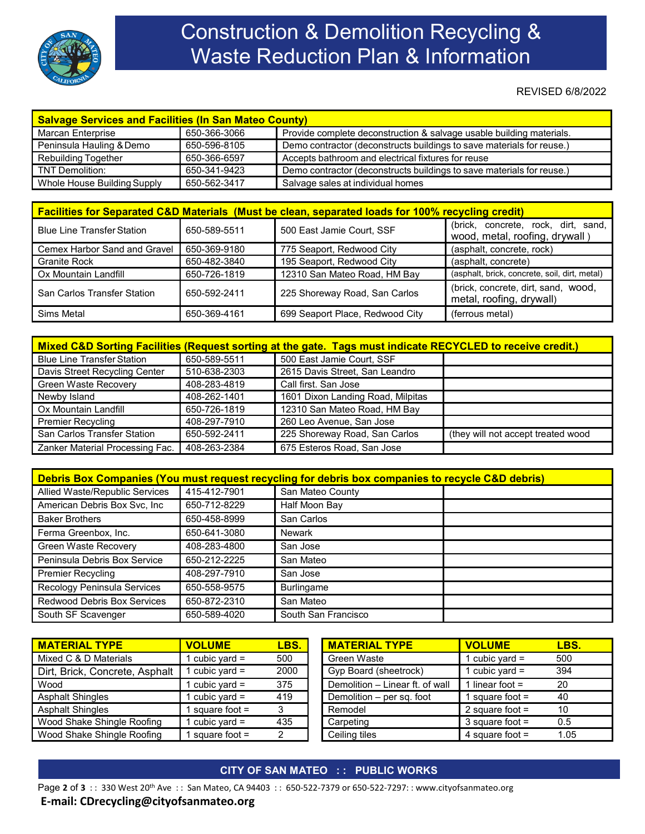

# Construction & Demolition Recycling & Waste Reduction Plan & Information

REVISED 6/8/2022

| <b>Salvage Services and Facilities (In San Mateo County)</b> |              |                                                                       |  |
|--------------------------------------------------------------|--------------|-----------------------------------------------------------------------|--|
| Marcan Enterprise                                            | 650-366-3066 | Provide complete deconstruction & salvage usable building materials.  |  |
| Peninsula Hauling & Demo                                     | 650-596-8105 | Demo contractor (deconstructs buildings to save materials for reuse.) |  |
| <b>Rebuilding Together</b>                                   | 650-366-6597 | Accepts bathroom and electrical fixtures for reuse                    |  |
| TNT Demolition:                                              | 650-341-9423 | Demo contractor (deconstructs buildings to save materials for reuse.) |  |
| Whole House Building Supply                                  | 650-562-3417 | Salvage sales at individual homes                                     |  |

| <b>Facilities for Separated C&amp;D Materials (Must be clean, separated loads for 100% recycling credit)</b> |              |                                 |                                                                       |  |  |
|--------------------------------------------------------------------------------------------------------------|--------------|---------------------------------|-----------------------------------------------------------------------|--|--|
| <b>Blue Line Transfer Station</b>                                                                            | 650-589-5511 | 500 East Jamie Court, SSF       | (brick, concrete, rock, dirt, sand,<br>wood, metal, roofing, drywall) |  |  |
| Cemex Harbor Sand and Gravel                                                                                 | 650-369-9180 | 775 Seaport, Redwood City       | (asphalt, concrete, rock)                                             |  |  |
| <b>Granite Rock</b>                                                                                          | 650-482-3840 | 195 Seaport, Redwood City       | (asphalt, concrete)                                                   |  |  |
| Ox Mountain Landfill                                                                                         | 650-726-1819 | 12310 San Mateo Road, HM Bay    | (asphalt, brick, concrete, soil, dirt, metal)                         |  |  |
| San Carlos Transfer Station                                                                                  | 650-592-2411 | 225 Shoreway Road, San Carlos   | (brick, concrete, dirt, sand, wood,<br>metal, roofing, drywall)       |  |  |
| Sims Metal                                                                                                   | 650-369-4161 | 699 Seaport Place, Redwood City | (ferrous metal)                                                       |  |  |

| Mixed C&D Sorting Facilities (Request sorting at the gate. Tags must indicate RECYCLED to receive credit.) |              |                                   |                                    |  |  |
|------------------------------------------------------------------------------------------------------------|--------------|-----------------------------------|------------------------------------|--|--|
| <b>Blue Line Transfer Station</b>                                                                          | 650-589-5511 | 500 East Jamie Court, SSF         |                                    |  |  |
| Davis Street Recycling Center                                                                              | 510-638-2303 | 2615 Davis Street, San Leandro    |                                    |  |  |
| <b>Green Waste Recovery</b>                                                                                | 408-283-4819 | Call first. San Jose              |                                    |  |  |
| Newby Island                                                                                               | 408-262-1401 | 1601 Dixon Landing Road, Milpitas |                                    |  |  |
| Ox Mountain Landfill                                                                                       | 650-726-1819 | 12310 San Mateo Road, HM Bay      |                                    |  |  |
| <b>Premier Recycling</b>                                                                                   | 408-297-7910 | 260 Leo Avenue, San Jose          |                                    |  |  |
| San Carlos Transfer Station                                                                                | 650-592-2411 | 225 Shoreway Road, San Carlos     | (they will not accept treated wood |  |  |
| Zanker Material Processing Fac.                                                                            | 408-263-2384 | 675 Esteros Road, San Jose        |                                    |  |  |

| Debris Box Companies (You must request recycling for debris box companies to recycle C&D debris) |              |                     |  |
|--------------------------------------------------------------------------------------------------|--------------|---------------------|--|
| Allied Waste/Republic Services                                                                   | 415-412-7901 | San Mateo County    |  |
| American Debris Box Svc, Inc                                                                     | 650-712-8229 | Half Moon Bay       |  |
| <b>Baker Brothers</b>                                                                            | 650-458-8999 | San Carlos          |  |
| Ferma Greenbox, Inc.                                                                             | 650-641-3080 | Newark              |  |
| Green Waste Recovery                                                                             | 408-283-4800 | San Jose            |  |
| Peninsula Debris Box Service                                                                     | 650-212-2225 | San Mateo           |  |
| <b>Premier Recycling</b>                                                                         | 408-297-7910 | San Jose            |  |
| <b>Recology Peninsula Services</b>                                                               | 650-558-9575 | <b>Burlingame</b>   |  |
| Redwood Debris Box Services                                                                      | 650-872-2310 | San Mateo           |  |
| South SF Scavenger                                                                               | 650-589-4020 | South San Francisco |  |

| <u>I MATERIAL TYPE</u>         | <b>VOLUME</b>    | LBS. | <b>MATERIAL TYPE</b>            | <b>VOLUME</b>     | LBS. |
|--------------------------------|------------------|------|---------------------------------|-------------------|------|
| Mixed C & D Materials          | I cubic vard $=$ | 500  | Green Waste                     | cubic vard $=$    | 500  |
| Dirt, Brick, Concrete, Asphalt | cubic yard $=$   | 2000 | Gyp Board (sheetrock)           | cubic yard $=$    | 394  |
| Wood                           | cubic vard $=$   | 375  | Demolition - Linear ft. of wall | l linear foot =   | 20   |
| <b>Asphalt Shingles</b>        | cubic vard $=$   | 419  | Demolition – per sq. foot       | square foot =     | 40   |
| <b>Asphalt Shingles</b>        | square foot $=$  | 3    | Remodel                         | 2 square foot $=$ | 10   |
| Wood Shake Shingle Roofing     | cubic vard $=$   | 435  | Carpeting                       | 3 square foot $=$ | 0.5  |
| Wood Shake Shingle Roofing     | square foot $=$  | າ    | Ceiling tiles                   | 4 square foot $=$ | 1.05 |

#### **CITY OF SAN MATEO : : PUBLIC WORKS**

Page 2 of 3 :: 330 West 20<sup>th</sup> Ave :: San Mateo, CA 94403 :: 650-522-7379 or 650-522-7297:: www.cityofsanmateo.org

#### **E-mail: CDrecycling@cityofsanmateo.org**